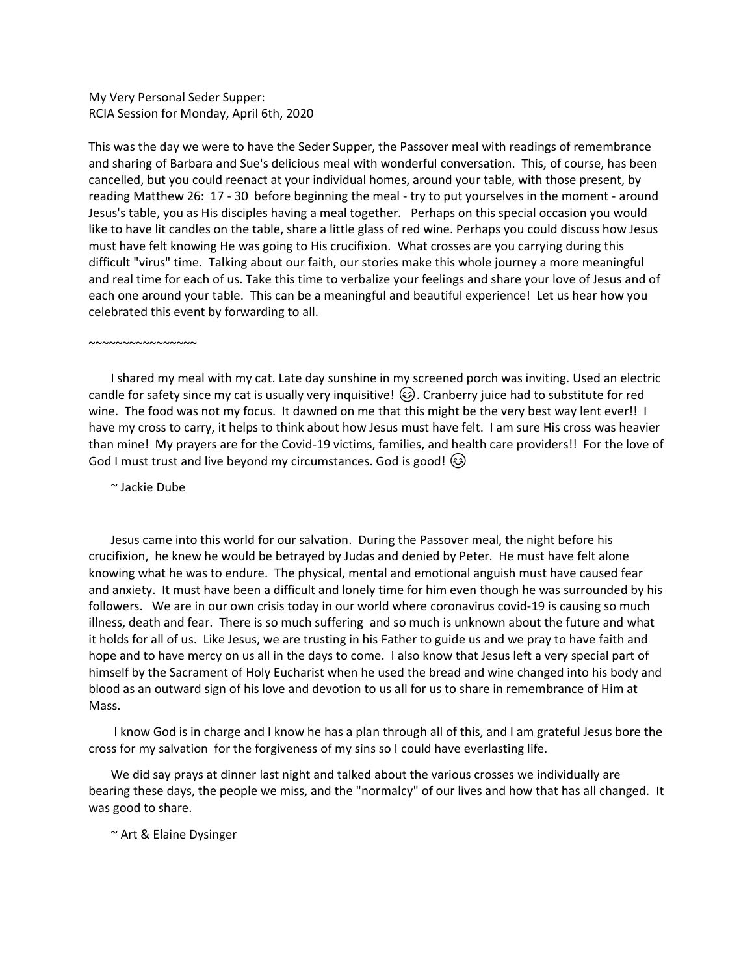My Very Personal Seder Supper: RCIA Session for Monday, April 6th, 2020

This was the day we were to have the Seder Supper, the Passover meal with readings of remembrance and sharing of Barbara and Sue's delicious meal with wonderful conversation. This, of course, has been cancelled, but you could reenact at your individual homes, around your table, with those present, by reading Matthew 26: 17 - 30 before beginning the meal - try to put yourselves in the moment - around Jesus's table, you as His disciples having a meal together. Perhaps on this special occasion you would like to have lit candles on the table, share a little glass of red wine. Perhaps you could discuss how Jesus must have felt knowing He was going to His crucifixion. What crosses are you carrying during this difficult "virus" time. Talking about our faith, our stories make this whole journey a more meaningful and real time for each of us. Take this time to verbalize your feelings and share your love of Jesus and of each one around your table. This can be a meaningful and beautiful experience! Let us hear how you celebrated this event by forwarding to all.

~~~~~~~~~~~~~~~~

I shared my meal with my cat. Late day sunshine in my screened porch was inviting. Used an electric candle for safety since my cat is usually very inquisitive! . Cranberry juice had to substitute for red wine. The food was not my focus. It dawned on me that this might be the very best way lent ever!! I have my cross to carry, it helps to think about how Jesus must have felt. I am sure His cross was heavier than mine! My prayers are for the Covid-19 victims, families, and health care providers!! For the love of God I must trust and live beyond my circumstances. God is good! (3)

~ Jackie Dube

Jesus came into this world for our salvation. During the Passover meal, the night before his crucifixion, he knew he would be betrayed by Judas and denied by Peter. He must have felt alone knowing what he was to endure. The physical, mental and emotional anguish must have caused fear and anxiety. It must have been a difficult and lonely time for him even though he was surrounded by his followers. We are in our own crisis today in our world where coronavirus covid-19 is causing so much illness, death and fear. There is so much suffering and so much is unknown about the future and what it holds for all of us. Like Jesus, we are trusting in his Father to guide us and we pray to have faith and hope and to have mercy on us all in the days to come. I also know that Jesus left a very special part of himself by the Sacrament of Holy Eucharist when he used the bread and wine changed into his body and blood as an outward sign of his love and devotion to us all for us to share in remembrance of Him at Mass.

I know God is in charge and I know he has a plan through all of this, and I am grateful Jesus bore the cross for my salvation for the forgiveness of my sins so I could have everlasting life.

We did say prays at dinner last night and talked about the various crosses we individually are bearing these days, the people we miss, and the "normalcy" of our lives and how that has all changed. It was good to share.

~ Art & Elaine Dysinger